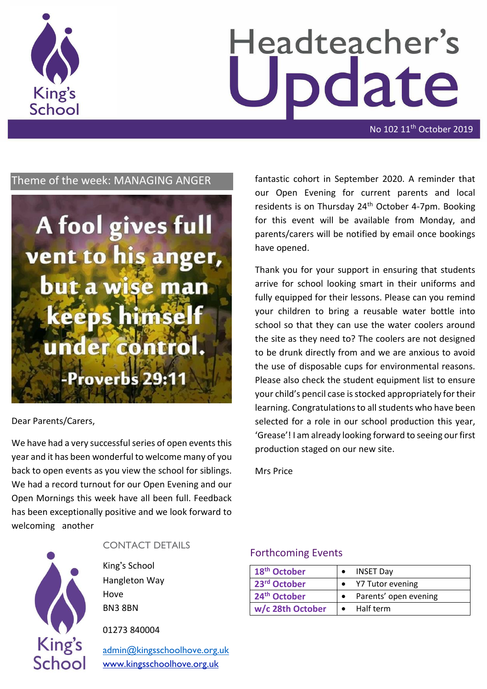

# Headteacher's date

No 102 11<sup>th</sup> October 2019

# Theme of the week: MANAGING ANGER



#### Dear Parents/Carers,

We have had a very successful series of open events this year and it has been wonderful to welcome many of you back to open events as you view the school for siblings. We had a record turnout for our Open Evening and our Open Mornings this week have all been full. Feedback has been exceptionally positive and we look forward to welcoming another



#### CONTACT DETAILS

King's School Hangleton Way Hove BN3 8BN

01273 840004

[admin@kingsschoolhove.org.uk](mailto:admin@kingsschoolhove.org.uk) [www.kingsschoolhove.org.uk](http://www.kingsschoolhove.org.uk/)

fantastic cohort in September 2020. A reminder that our Open Evening for current parents and local residents is on Thursday 24<sup>th</sup> October 4-7pm. Booking for this event will be available from Monday, and parents/carers will be notified by email once bookings have opened.

Thank you for your support in ensuring that students arrive for school looking smart in their uniforms and fully equipped for their lessons. Please can you remind your children to bring a reusable water bottle into school so that they can use the water coolers around the site as they need to? The coolers are not designed to be drunk directly from and we are anxious to avoid the use of disposable cups for environmental reasons. Please also check the student equipment list to ensure your child's pencil case is stocked appropriately for their learning. Congratulations to all students who have been selected for a role in our school production this year, 'Grease'! I am already looking forward to seeing our first production staged on our new site.

Mrs Price

#### Forthcoming Events

| 18 <sup>th</sup> October | <b>INSET Day</b>      |
|--------------------------|-----------------------|
| 23rd October             | • Y7 Tutor evening    |
| 24 <sup>th</sup> October | Parents' open evening |
| w/c 28th October         | $\bullet$ Half term   |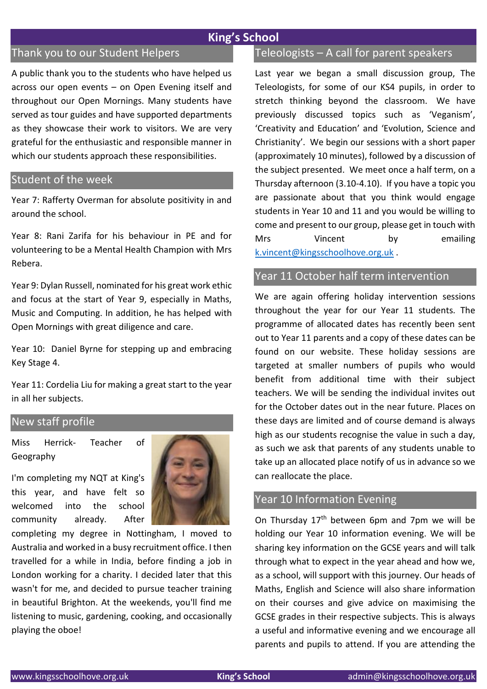# **King's School**

# Thank you to our Student Helpers

A public thank you to the students who have helped us across our open events – on Open Evening itself and throughout our Open Mornings. Many students have served as tour guides and have supported departments as they showcase their work to visitors. We are very grateful for the enthusiastic and responsible manner in which our students approach these responsibilities.

#### Student of the week

Year 7: Rafferty Overman for absolute positivity in and around the school.

Year 8: Rani Zarifa for his behaviour in PE and for volunteering to be a Mental Health Champion with Mrs Rebera.

Year 9: Dylan Russell, nominated for his great work ethic and focus at the start of Year 9, especially in Maths, Music and Computing. In addition, he has helped with Open Mornings with great diligence and care.

Year 10: Daniel Byrne for stepping up and embracing Key Stage 4.

Year 11: Cordelia Liu for making a great start to the year in all her subjects.

### New staff profile

Miss Herrick- Teacher of Geography

I'm completing my NQT at King's this year, and have felt so welcomed into the school community already. After



completing my degree in Nottingham, I moved to Australia and worked in a busy recruitment office. I then travelled for a while in India, before finding a job in London working for a charity. I decided later that this wasn't for me, and decided to pursue teacher training in beautiful Brighton. At the weekends, you'll find me listening to music, gardening, cooking, and occasionally playing the oboe!

# Teleologists – A call for parent speakers

Last year we began a small discussion group, The Teleologists, for some of our KS4 pupils, in order to stretch thinking beyond the classroom. We have previously discussed topics such as 'Veganism', 'Creativity and Education' and 'Evolution, Science and Christianity'. We begin our sessions with a short paper (approximately 10 minutes), followed by a discussion of the subject presented. We meet once a half term, on a Thursday afternoon (3.10-4.10). If you have a topic you are passionate about that you think would engage students in Year 10 and 11 and you would be willing to come and present to our group, please get in touch with Mrs Vincent by emailing [k.vincent@kingsschoolhove.org.uk](mailto:k.vincent@kingsschoolhove.org.uk) .

## Year 11 October half term intervention

We are again offering holiday intervention sessions throughout the year for our Year 11 students. The programme of allocated dates has recently been sent out to Year 11 parents and a copy of these dates can be found on our website. These holiday sessions are targeted at smaller numbers of pupils who would benefit from additional time with their subject teachers. We will be sending the individual invites out for the October dates out in the near future. Places on these days are limited and of course demand is always high as our students recognise the value in such a day, as such we ask that parents of any students unable to take up an allocated place notify of us in advance so we can reallocate the place.

## Year 10 Information Evening

On Thursday 17th between 6pm and 7pm we will be holding our Year 10 information evening. We will be sharing key information on the GCSE years and will talk through what to expect in the year ahead and how we, as a school, will support with this journey. Our heads of Maths, English and Science will also share information on their courses and give advice on maximising the GCSE grades in their respective subjects. This is always a useful and informative evening and we encourage all parents and pupils to attend. If you are attending the